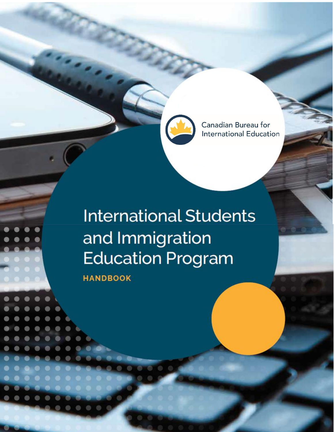Canadian Bureau for **International Education** 

ISIEP HANDBOOK (updated April 202

# **International Students** and Immigration **Education Program**

**HANDBOOK**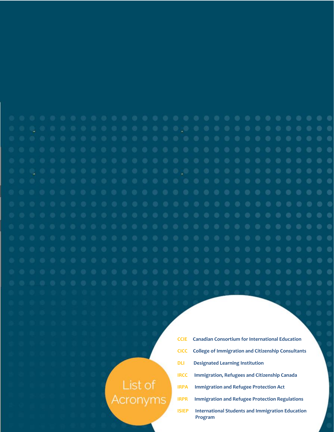# **CCIE Canadian Consortium for International Education CICC College of Immigration and Citizenship Consultants**

### **DLI Designated Learning Institution**

- **IRCC Immigration, Refugees and Citizenship Canada**
- **IRPA Immigration and Refugee Protection Act**
- **IRPR Immigration and Refugee Protection Regulations**
- **ISIEP** International Students and Immigration Education  **Program**

## List of Acronyms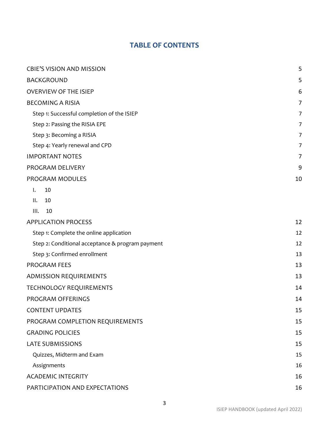### **TABLE OF CONTENTS**

| <b>CBIE'S VISION AND MISSION</b>                 | 5              |
|--------------------------------------------------|----------------|
| <b>BACKGROUND</b>                                | 5              |
| <b>OVERVIEW OF THE ISIEP</b>                     | 6              |
| <b>BECOMING A RISIA</b>                          | $\overline{7}$ |
| Step 1: Successful completion of the ISIEP       | $\overline{7}$ |
| Step 2: Passing the RISIA EPE                    | 7              |
| Step 3: Becoming a RISIA                         | $\overline{7}$ |
| Step 4: Yearly renewal and CPD                   | $\overline{7}$ |
| <b>IMPORTANT NOTES</b>                           | 7              |
| PROGRAM DELIVERY                                 | 9              |
| PROGRAM MODULES                                  | 10             |
| 10<br>$\mathsf{I}$ .                             |                |
| II.<br>10                                        |                |
| III.<br>10                                       |                |
| <b>APPLICATION PROCESS</b>                       | 12             |
| Step 1: Complete the online application          | 12             |
| Step 2: Conditional acceptance & program payment | 12             |
| Step 3: Confirmed enrollment                     | 13             |
| PROGRAM FEES                                     | 13             |
| <b>ADMISSION REQUIREMENTS</b>                    | 13             |
| <b>TECHNOLOGY REQUIREMENTS</b>                   | 14             |
| PROGRAM OFFERINGS                                | 14             |
| <b>CONTENT UPDATES</b>                           | 15             |
| PROGRAM COMPLETION REQUIREMENTS                  | 15             |
| <b>GRADING POLICIES</b>                          | 15             |
| <b>LATE SUBMISSIONS</b>                          | 15             |
| Quizzes, Midterm and Exam                        | 15             |
| Assignments                                      | 16             |
| <b>ACADEMIC INTEGRITY</b>                        | 16             |
| PARTICIPATION AND EXPECTATIONS                   | 16             |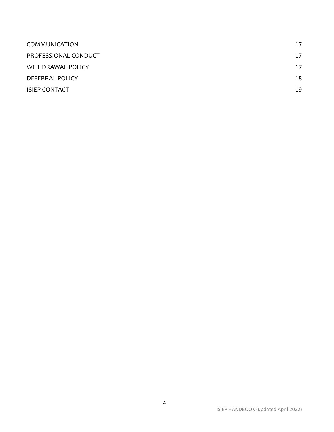| COMMUNICATION        | 17 |
|----------------------|----|
| PROFESSIONAL CONDUCT | 17 |
| WITHDRAWAL POLICY    | 17 |
| DEFERRAL POLICY      | 18 |
| <b>ISIEP CONTACT</b> | 19 |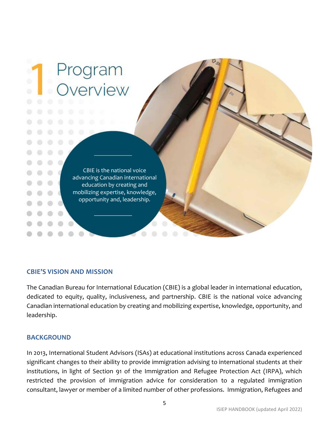

### <span id="page-4-0"></span>**CBIE'S VISION AND MISSION**

The Canadian Bureau for International Education (CBIE) is a global leader in international education, dedicated to equity, quality, inclusiveness, and partnership. CBIE is the national voice advancing Canadian international education by creating and mobilizing expertise, knowledge, opportunity, and leadership.

### <span id="page-4-1"></span>**BACKGROUND**

In 2013, International Student Advisors (ISAs) at educational institutions across Canada experienced significant changes to their ability to provide immigration advising to international students at their institutions, in light of Section 91 of the Immigration and Refugee Protection Act (IRPA), which restricted the provision of immigration advice for consideration to a regulated immigration consultant, lawyer or member of a limited number of other professions. Immigration, Refugees and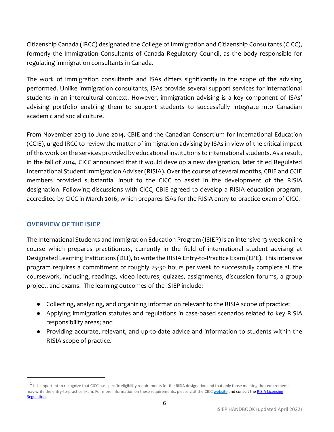Citizenship Canada (IRCC) designated the College of Immigration and Citizenship Consultants (CICC), formerly the Immigration Consultants of Canada Regulatory Council, as the body responsible for regulating immigration consultants in Canada.

The work of immigration consultants and ISAs differs significantly in the scope of the advising performed. Unlike immigration consultants, ISAs provide several support services for international students in an intercultural context. However, immigration advising is a key component of ISAs' advising portfolio enabling them to support students to successfully integrate into Canadian academic and social culture.

From November 2013 to June 2014, CBIE and the Canadian Consortium for International Education (CCIE), urged IRCC to review the matter of immigration advising by ISAs in view of the critical impact of this work on the services provided by educational institutions to international students. As a result, in the fall of 2014, CICC announced that it would develop a new designation, later titled Regulated International Student Immigration Adviser (RISIA). Over the course of several months, CBIE and CCIE members provided substantial input to the CICC to assist in the development of the RISIA designation. Following discussions with CICC, CBIE agreed to develop a RISIA education program, accredited by CICC in March 2016, which prepares ISAs for the RISIA entry-to-practice exam of CICC.<sup>1</sup>

### <span id="page-5-0"></span>**OVERVIEW OF THE ISIEP**

The International Students and Immigration Education Program (ISIEP) is an intensive 13-week online course which prepares practitioners, currently in the field of international student advising at Designated Learning Institutions (DLI), to write the RISIA Entry-to-Practice Exam (EPE). This intensive program requires a commitment of roughly 25-30 hours per week to successfully complete all the coursework, including, readings, video lectures, quizzes, assignments, discussion forums, a group project, and exams. The learning outcomes of the ISIEP include:

- Collecting, analyzing, and organizing information relevant to the RISIA scope of practice;
- Applying immigration statutes and regulations in case-based scenarios related to key RISIA responsibility areas; and
- Providing accurate, relevant, and up-to-date advice and information to students within the RISIA scope of practice.

 $^1$  It is important to recognize that CICC has specific eligibility requirements for the RISIA designation and that only those meeting the requirements may write the entry-to-practice exam. For more information on these requirements, please visit the CICC [website](https://college-ic.ca/become-licensed/how-do-i-become-a-risia/registration-process?l=en-US) and consult the RISIA Licensing [Regulation.](https://college-ic.ca/about-the-college/regulations-and-policies)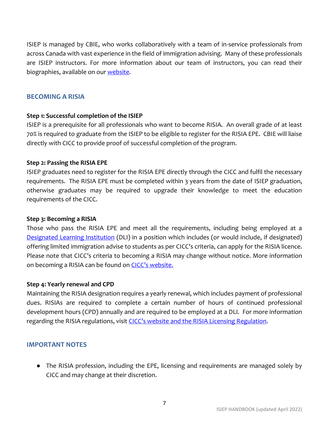ISIEP is managed by CBIE, who works collaboratively with a team of in-service professionals from across Canada with vast experience in the field of immigration advising. Many of these professionals are ISIEP instructors. For more information about our team of instructors, you can read their biographies, available on our [website.](https://cbie.ca/isiep/)

### <span id="page-6-0"></span>**BECOMING A RISIA**

### <span id="page-6-1"></span>**Step 1: Successful completion of the ISIEP**

ISIEP is a prerequisite for all professionals who want to become RISIA. An overall grade of at least 70% is required to graduate from the ISIEP to be eligible to register for the RISIA EPE. CBIE will liaise directly with CICC to provide proof of successful completion of the program.

### <span id="page-6-2"></span>**Step 2: Passing the RISIA EPE**

ISIEP graduates need to register for the RISIA EPE directly through the CICC and fulfil the necessary requirements. The RISIA EPE must be completed within 3 years from the date of ISIEP graduation, otherwise graduates may be required to upgrade their knowledge to meet the education requirements of the CICC.

### <span id="page-6-3"></span>**Step 3: Becoming a RISIA**

Those who pass the RISIA EPE and meet all the requirements, including being employed at a [Designated Learning Institution](https://www.canada.ca/en/immigration-refugees-citizenship/services/study-canada/study-permit/prepare/designated-learning-institutions-list.html) (DLI) in a position which includes (or would include, if designated) offering limited immigration advise to students as per CICC's criteria, can apply for the RISIA licence. Please note that CICC's criteria to becoming a RISIA may change without notice. More information on becoming a RISIA can be found on CI[CC's website.](https://college-ic.ca/become-licensed/how-do-i-become-a-risia)

### <span id="page-6-4"></span>**Step 4: Yearly renewal and CPD**

Maintaining the RISIA designation requires a yearly renewal, which includes payment of professional dues. RISIAs are required to complete a certain number of hours of continued professional development hours (CPD) annually and are required to be employed at a DLI. For more information regarding the RISIA regulations, visit CICC's website [and the RISIA Licensing Regulation.](https://college-ic.ca/about-the-college/regulations-and-policies)

### <span id="page-6-5"></span>**IMPORTANT NOTES**

● The RISIA profession, including the EPE, licensing and requirements are managed solely by CICC and may change at their discretion.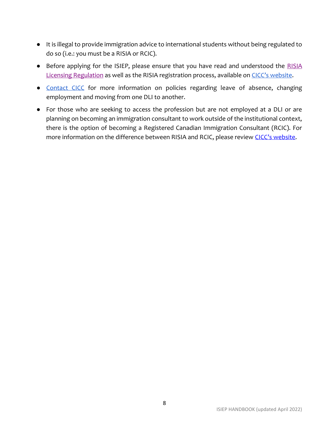- It is illegal to provide immigration advice to international students without being regulated to do so (i.e.: you must be a RISIA or RCIC).
- Before applying for the ISIEP, please ensure that you have read and understood the RISIA [Licensing Regulation](https://college-ic.ca/about-the-college/regulations-and-policies) as well as the RISIA registration process, available on CI[CC's website](https://college-ic.ca/become-licensed/how-do-i-become-a-risia/registration-process?l=en-US).
- [Contact CICC](https://college-ic.ca/connect-with-us/contact?l=en-US) for more information on policies regarding leave of absence, changing employment and moving from one DLI to another.
- For those who are seeking to access the profession but are not employed at a DLI or are planning on becoming an immigration consultant to work outside of the institutional context, there is the option of becoming a Registered Canadian Immigration Consultant (RCIC). For more information on the difference between RISIA and RCIC, please review CICC's [website.](https://college-ic.ca/become-licensed/about-rcics-and-risias?l=en-US)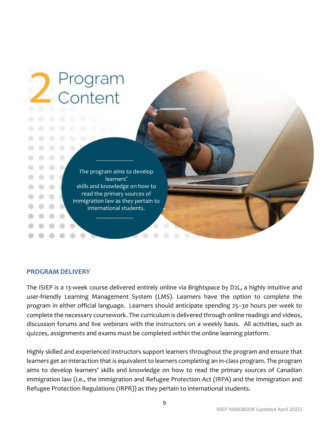

### <span id="page-8-0"></span>**PROGRAM DELIVERY**

The ISIEP is a 13-week course delivered entirely online via *Brightspace* by D2L, a highly intuitive and user-friendly Learning Management System (LMS). Learners have the option to complete the program in either official language. Learners should anticipate spending 25–30 hours per week to complete the necessary coursework. The curriculum is delivered through online readings and videos, discussion forums and live webinars with the instructors on a weekly basis. All activities, such as quizzes, assignments and exams must be completed within the online learning platform.

Highly skilled and experienced instructors support learners throughout the program and ensure that learners get an interaction that is equivalent to learners completing an in-class program. The program aims to develop learners' skills and knowledge on how to read the primary sources of Canadian immigration law (i.e., the Immigration and Refugee Protection Act (IRPA) and the Immigration and Refugee Protection Regulations (IRPR)) as they pertain to international students.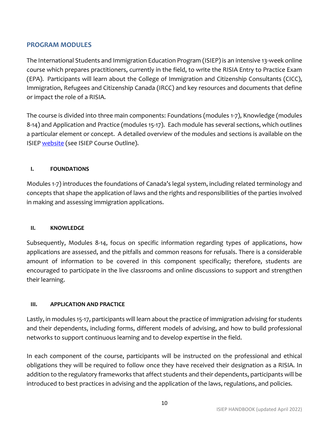### <span id="page-9-0"></span>**PROGRAM MODULES**

The International Students and Immigration Education Program (ISIEP) is an intensive 13-week online course which prepares practitioners, currently in the field, to write the RISIA Entry to Practice Exam (EPA). Participants will learn about the College of Immigration and Citizenship Consultants (CICC), Immigration, Refugees and Citizenship Canada (IRCC) and key resources and documents that define or impact the role of a RISIA.

The course is divided into three main components: Foundations (modules 1-7), Knowledge (modules 8-14) and Application and Practice (modules 15-17). Each module has several sections, which outlines a particular element or concept. A detailed overview of the modules and sections is available on the ISIEP [website](https://cbie.ca/isiep/) (see ISIEP Course Outline).

### <span id="page-9-1"></span>**I. FOUNDATIONS**

Modules 1-7) introduces the foundations of Canada's legal system, including related terminology and concepts that shape the application of laws and the rights and responsibilities of the parties involved in making and assessing immigration applications.

### <span id="page-9-2"></span>**II. KNOWLEDGE**

Subsequently, Modules 8-14, focus on specific information regarding types of applications, how applications are assessed, and the pitfalls and common reasons for refusals. There is a considerable amount of information to be covered in this component specifically; therefore, students are encouraged to participate in the live classrooms and online discussions to support and strengthen their learning.

### <span id="page-9-3"></span>**III. APPLICATION AND PRACTICE**

Lastly, in modules 15-17, participants will learn about the practice of immigration advising for students and their dependents, including forms, different models of advising, and how to build professional networks to support continuous learning and to develop expertise in the field.

In each component of the course, participants will be instructed on the professional and ethical obligations they will be required to follow once they have received their designation as a RISIA. In addition to the regulatory frameworks that affect students and their dependents, participants will be introduced to best practices in advising and the application of the laws, regulations, and policies.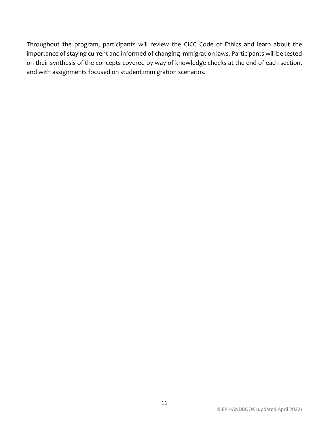Throughout the program, participants will review the CICC Code of Ethics and learn about the importance of staying current and informed of changing immigration laws. Participants will be tested on their synthesis of the concepts covered by way of knowledge checks at the end of each section, and with assignments focused on student immigration scenarios.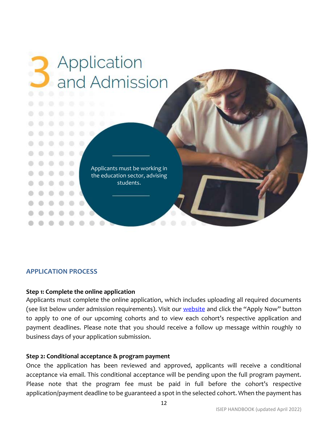

### <span id="page-11-0"></span>**APPLICATION PROCESS**

### <span id="page-11-1"></span>**Step 1: Complete the online application**

Applicants must complete the online application, which includes uploading all required documents (see list below under admission requirements). Visit our [website](https://cbie.ca/isiep/) and click the "Apply Now" button to apply to one of our upcoming cohorts and to view each cohort's respective application and payment deadlines. Please note that you should receive a follow up message within roughly 10 business days of your application submission.

### <span id="page-11-2"></span>**Step 2: Conditional acceptance & program payment**

Once the application has been reviewed and approved, applicants will receive a conditional acceptance via email. This conditional acceptance will be pending upon the full program payment. Please note that the program fee must be paid in full before the cohort's respective application/payment deadline to be guaranteed a spot in the selected cohort. When the payment has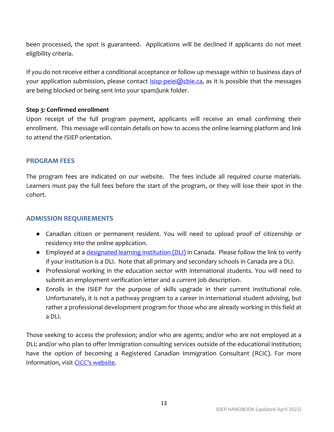been processed, the spot is guaranteed. Applications will be declined if applicants do not meet eligibility criteria.

If you do not receive either a conditional acceptance or follow up message within 10 business days of your application submission, please contact  $isip\text{-}peiei@cbie.ca$ , as it is possible that the messages are being blocked or being sent into your spam/junk folder.

### <span id="page-12-0"></span>**Step 3: Confirmed enrollment**

Upon receipt of the full program payment, applicants will receive an email confirming their enrollment. This message will contain details on how to access the online learning platform and link to attend the ISIEP orientation.

### <span id="page-12-1"></span>**PROGRAM FEES**

The program fees are indicated on our website. The fees include all required course materials. Learners must pay the full fees before the start of the program, or they will lose their spot in the cohort.

### <span id="page-12-2"></span>**ADMISSION REQUIREMENTS**

- Canadian citizen or permanent resident. You will need to upload proof of citizenship or residency into the online application.
- Employed at a *designated learning institution (DLI)* in Canada. Please follow the link to verify if your institution is a DLI. Note that all primary and secondary schools in Canada are a DLI.
- Professional working in the education sector with international students. You will need to submit an employment verification letter and a current job description.
- Enrolls in the ISIEP for the purpose of skills upgrade in their current institutional role. Unfortunately, it is not a pathway program to a career in international student advising, but rather a professional development program for those who are already working in this field at a DLI.

Those seeking to access the profession; and/or who are agents; and/or who are not employed at a DLI; and/or who plan to offer immigration consulting services outside of the educational institution; have the option of becoming a Registered Canadian Immigration Consultant (RCIC). For more information, visit **CICC['s website](https://college-ic.ca/become-licensed/how-do-i-become-an-rcic-).**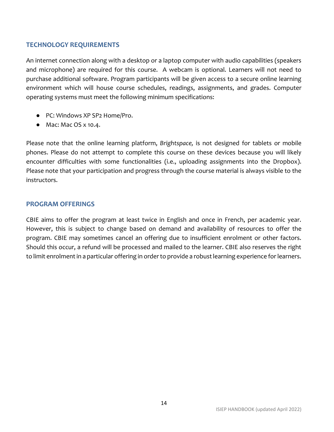### <span id="page-13-0"></span>**TECHNOLOGY REQUIREMENTS**

An internet connection along with a desktop or a laptop computer with audio capabilities (speakers and microphone) are required for this course. A webcam is optional. Learners will not need to purchase additional software. Program participants will be given access to a secure online learning environment which will house course schedules, readings, assignments, and grades. Computer operating systems must meet the following minimum specifications:

- PC: Windows XP SP2 Home/Pro.
- Mac: Mac OS x 10.4.

Please note that the online learning platform, *Brightspace,* is not designed for tablets or mobile phones. Please do not attempt to complete this course on these devices because you will likely encounter difficulties with some functionalities (i.e., uploading assignments into the Dropbox). Please note that your participation and progress through the course material is always visible to the instructors.

### <span id="page-13-1"></span>**PROGRAM OFFERINGS**

CBIE aims to offer the program at least twice in English and once in French, per academic year. However, this is subject to change based on demand and availability of resources to offer the program. CBIE may sometimes cancel an offering due to insufficient enrolment or other factors. Should this occur, a refund will be processed and mailed to the learner. CBIE also reserves the right to limit enrolment in a particular offering in order to provide a robust learning experience for learners.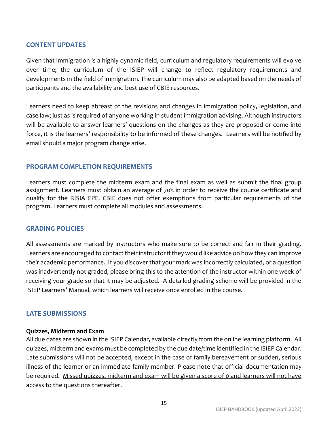### <span id="page-14-0"></span>**CONTENT UPDATES**

Given that immigration is a highly dynamic field, curriculum and regulatory requirements will evolve over time; the curriculum of the ISIEP will change to reflect regulatory requirements and developments in the field of immigration. The curriculum may also be adapted based on the needs of participants and the availability and best use of CBIE resources.

Learners need to keep abreast of the revisions and changes in immigration policy, legislation, and case law; just as is required of anyone working in student immigration advising. Although instructors will be available to answer learners' questions on the changes as they are proposed or come into force, it is the learners' responsibility to be informed of these changes. Learners will be notified by email should a major program change arise.

### <span id="page-14-1"></span>**PROGRAM COMPLETION REQUIREMENTS**

Learners must complete the midterm exam and the final exam as well as submit the final group assignment. Learners must obtain an average of 70% in order to receive the course certificate and qualify for the RISIA EPE. CBIE does not offer exemptions from particular requirements of the program. Learners must complete all modules and assessments.

### <span id="page-14-2"></span>**GRADING POLICIES**

All assessments are marked by instructors who make sure to be correct and fair in their grading. Learners are encouraged to contact their instructor if they would like advice on how they can improve their academic performance. If you discover that your mark was incorrectly calculated, or a question was inadvertently not graded, please bring this to the attention of the instructor within one week of receiving your grade so that it may be adjusted. A detailed grading scheme will be provided in the ISIEP Learners' Manual, which learners will receive once enrolled in the course.

### <span id="page-14-3"></span>**LATE SUBMISSIONS**

### <span id="page-14-4"></span>**Quizzes, Midterm and Exam**

All due dates are shown in the ISIEP Calendar, available directly from the online learning platform. All quizzes, midterm and exams must be completed by the due date/time identified in the ISIEP Calendar. Late submissions will not be accepted, except in the case of family bereavement or sudden, serious illness of the learner or an immediate family member. Please note that official documentation may be required. Missed quizzes, midterm and exam will be given a score of 0 and learners will not have access to the questions thereafter.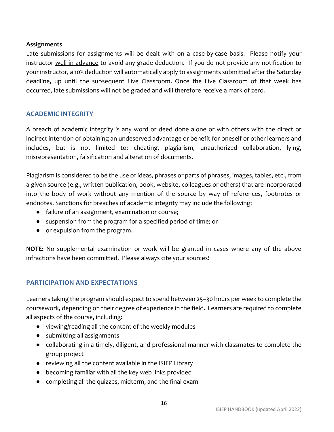### <span id="page-15-0"></span>**Assignments**

Late submissions for assignments will be dealt with on a case-by-case basis. Please notify your instructor well in advance to avoid any grade deduction. If you do not provide any notification to your instructor, a 10% deduction will automatically apply to assignments submitted after the Saturday deadline, up until the subsequent Live Classroom. Once the Live Classroom of that week has occurred, late submissions will not be graded and will therefore receive a mark of zero.

### <span id="page-15-1"></span>**ACADEMIC INTEGRITY**

A breach of academic integrity is any word or deed done alone or with others with the direct or indirect intention of obtaining an undeserved advantage or benefit for oneself or other learners and includes, but is not limited to: cheating, plagiarism, unauthorized collaboration, lying, misrepresentation, falsification and alteration of documents.

Plagiarism is considered to be the use of ideas, phrases or parts of phrases, images, tables, etc., from a given source (e.g., written publication, book, website, colleagues or others) that are incorporated into the body of work without any mention of the source by way of references, footnotes or endnotes. Sanctions for breaches of academic integrity may include the following:

- failure of an assignment, examination or course;
- suspension from the program for a specified period of time; or
- or expulsion from the program.

**NOTE:** No supplemental examination or work will be granted in cases where any of the above infractions have been committed. Please always cite your sources!

### <span id="page-15-2"></span>**PARTICIPATION AND EXPECTATIONS**

Learners taking the program should expect to spend between 25–30 hours per week to complete the coursework, depending on their degree of experience in the field. Learners are required to complete all aspects of the course, including:

- viewing/reading all the content of the weekly modules
- submitting all assignments
- collaborating in a timely, diligent, and professional manner with classmates to complete the group project
- reviewing all the content available in the ISIEP Library
- becoming familiar with all the key web links provided
- completing all the quizzes, midterm, and the final exam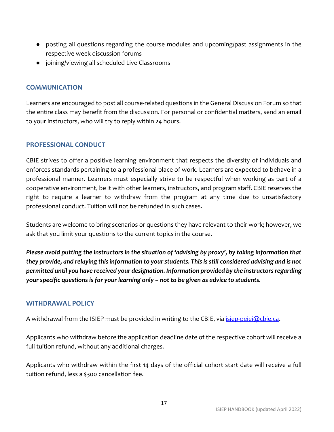- posting all questions regarding the course modules and upcoming/past assignments in the respective week discussion forums
- joining/viewing all scheduled Live Classrooms

### <span id="page-16-0"></span>**COMMUNICATION**

Learners are encouraged to post all course-related questions in the General Discussion Forum so that the entire class may benefit from the discussion. For personal or confidential matters, send an email to your instructors, who will try to reply within 24 hours.

### <span id="page-16-1"></span>**PROFESSIONAL CONDUCT**

CBIE strives to offer a positive learning environment that respects the diversity of individuals and enforces standards pertaining to a professional place of work. Learners are expected to behave in a professional manner. Learners must especially strive to be respectful when working as part of a cooperative environment, be it with other learners, instructors, and program staff. CBIE reserves the right to require a learner to withdraw from the program at any time due to unsatisfactory professional conduct. Tuition will not be refunded in such cases.

Students are welcome to bring scenarios or questions they have relevant to their work; however, we ask that you limit your questions to the current topics in the course.

*Please avoid putting the instructors in the situation of 'advising by proxy', by taking information that they provide, and relaying this information to your students. This is still considered advising and is not permitted until you have received your designation. Information provided by the instructors regarding your specific questions is for your learning only – not to be given as advice to students.*

### <span id="page-16-2"></span>**WITHDRAWAL POLICY**

A withdrawal from the ISIEP must be provided in writing to the CBIE, via *isiep-peiei@cbie.ca*.

Applicants who withdraw before the application deadline date of the respective cohort will receive a full tuition refund, without any additional charges.

Applicants who withdraw within the first 14 days of the official cohort start date will receive a full tuition refund, less a \$300 cancellation fee.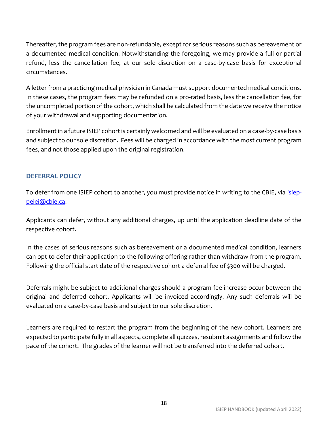Thereafter, the program fees are non-refundable, except for serious reasons such as bereavement or a documented medical condition. Notwithstanding the foregoing, we may provide a full or partial refund, less the cancellation fee, at our sole discretion on a case-by-case basis for exceptional circumstances.

A letter from a practicing medical physician in Canada must support documented medical conditions. In these cases, the program fees may be refunded on a pro-rated basis, less the cancellation fee, for the uncompleted portion of the cohort, which shall be calculated from the date we receive the notice of your withdrawal and supporting documentation.

Enrollment in a future ISIEP cohort is certainly welcomed and will be evaluated on a case-by-case basis and subject to our sole discretion. Fees will be charged in accordance with the most current program fees, and not those applied upon the original registration.

### <span id="page-17-0"></span>**DEFERRAL POLICY**

To defer from one ISIEP cohort to another, you must provide notice in writing to the CBIE, via *isiep*[peiei@cbie.ca.](mailto:isiep-peiei@cbie.ca)

Applicants can defer, without any additional charges, up until the application deadline date of the respective cohort.

In the cases of serious reasons such as bereavement or a documented medical condition, learners can opt to defer their application to the following offering rather than withdraw from the program. Following the official start date of the respective cohort a deferral fee of \$300 will be charged.

Deferrals might be subject to additional charges should a program fee increase occur between the original and deferred cohort. Applicants will be invoiced accordingly. Any such deferrals will be evaluated on a case-by-case basis and subject to our sole discretion.

Learners are required to restart the program from the beginning of the new cohort. Learners are expected to participate fully in all aspects, complete all quizzes, resubmit assignments and follow the pace of the cohort. The grades of the learner will not be transferred into the deferred cohort.